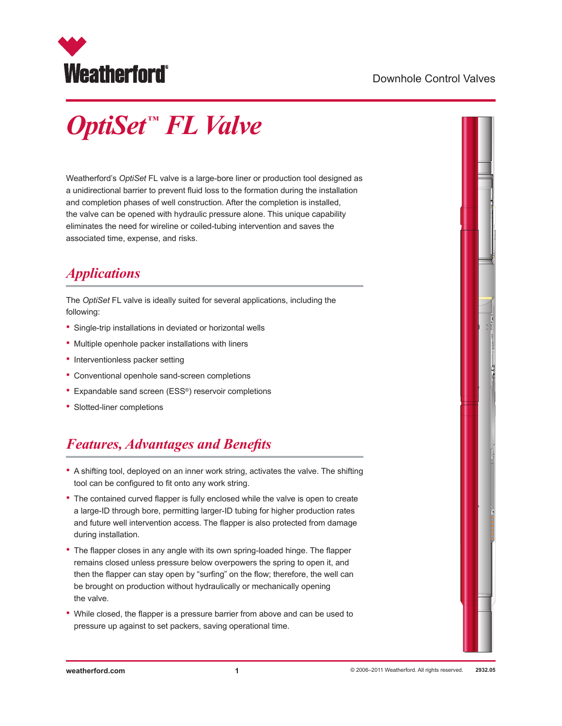

#### Downhole Control Valves

# *OptiSet ™ FL Valve*

Weatherford's *OptiSet* FL valve is a large-bore liner or production tool designed as a unidirectional barrier to prevent fluid loss to the formation during the installation and completion phases of well construction. After the completion is installed, the valve can be opened with hydraulic pressure alone. This unique capability eliminates the need for wireline or coiled-tubing intervention and saves the associated time, expense, and risks.

# *Applications*

The *OptiSet* FL valve is ideally suited for several applications, including the following:

- Single-trip installations in deviated or horizontal wells
- Multiple openhole packer installations with liners
- Interventionless packer setting
- Conventional openhole sand-screen completions
- Expandable sand screen (ESS®) reservoir completions
- Slotted-liner completions

### *Features, Advantages and Benefits*

- A shifting tool, deployed on an inner work string, activates the valve. The shifting tool can be configured to fit onto any work string.
- The contained curved flapper is fully enclosed while the valve is open to create a large-ID through bore, permitting larger-ID tubing for higher production rates and future well intervention access. The flapper is also protected from damage during installation.
- The flapper closes in any angle with its own spring-loaded hinge. The flapper remains closed unless pressure below overpowers the spring to open it, and then the flapper can stay open by "surfing" on the flow; therefore, the well can be brought on production without hydraulically or mechanically opening the valve.
- While closed, the flapper is a pressure barrier from above and can be used to pressure up against to set packers, saving operational time.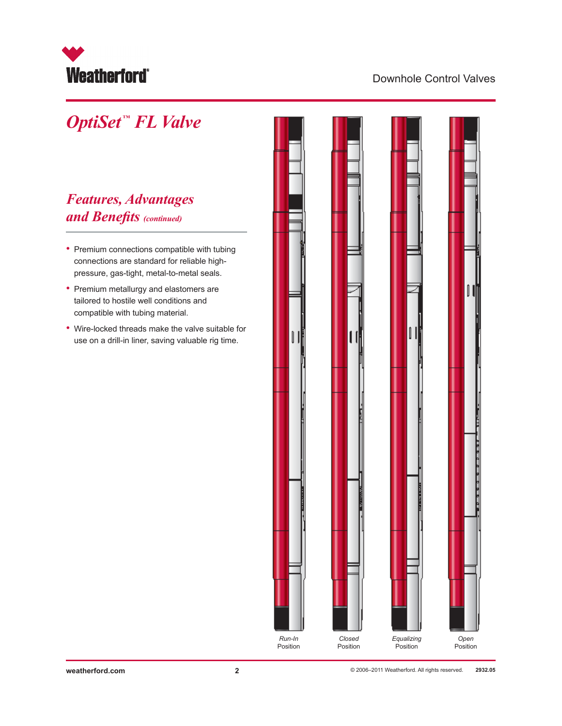

#### Downhole Control Valves

# *OptiSet ™ FL Valve*

### *Features, Advantages and Benefits (continued)*

- Premium connections compatible with tubing connections are standard for reliable highpressure, gas-tight, metal-to-metal seals.
- • Premium metallurgy and elastomers are tailored to hostile well conditions and compatible with tubing material.
- • Wire-locked threads make the valve suitable for use on a drill-in liner, saving valuable rig time.